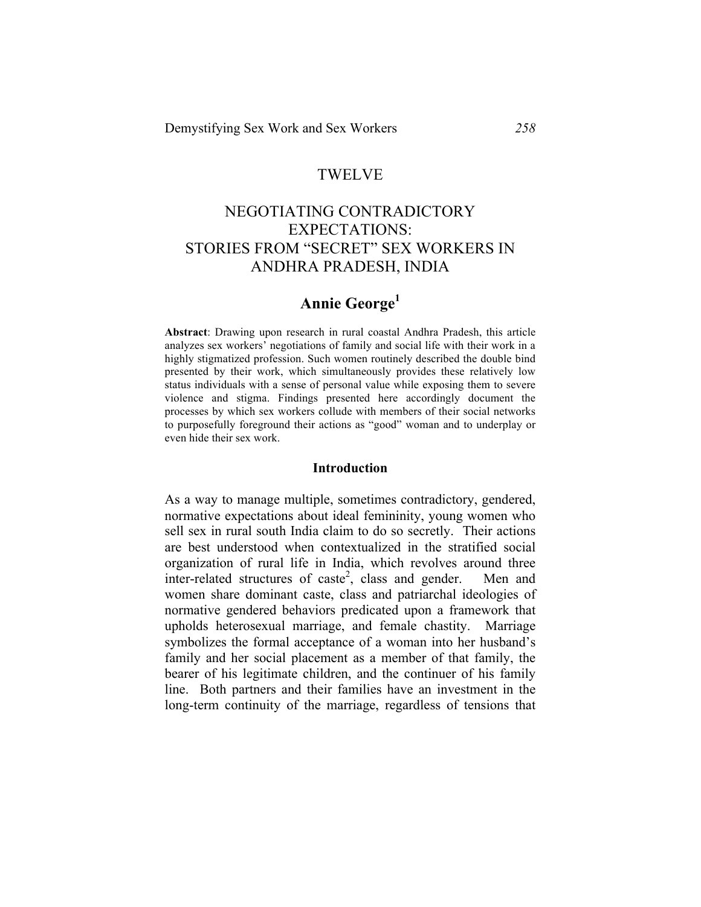### TWELVE

# NEGOTIATING CONTRADICTORY EXPECTATIONS: STORIES FROM "SECRET" SEX WORKERS IN ANDHRA PRADESH, INDIA

# **Annie George1**

**Abstract**: Drawing upon research in rural coastal Andhra Pradesh, this article analyzes sex workers' negotiations of family and social life with their work in a highly stigmatized profession. Such women routinely described the double bind presented by their work, which simultaneously provides these relatively low status individuals with a sense of personal value while exposing them to severe violence and stigma. Findings presented here accordingly document the processes by which sex workers collude with members of their social networks to purposefully foreground their actions as "good" woman and to underplay or even hide their sex work.

#### **Introduction**

As a way to manage multiple, sometimes contradictory, gendered, normative expectations about ideal femininity, young women who sell sex in rural south India claim to do so secretly. Their actions are best understood when contextualized in the stratified social organization of rural life in India, which revolves around three inter-related structures of caste<sup>2</sup>, class and gender. Men and women share dominant caste, class and patriarchal ideologies of normative gendered behaviors predicated upon a framework that upholds heterosexual marriage, and female chastity. Marriage symbolizes the formal acceptance of a woman into her husband's family and her social placement as a member of that family, the bearer of his legitimate children, and the continuer of his family line. Both partners and their families have an investment in the long-term continuity of the marriage, regardless of tensions that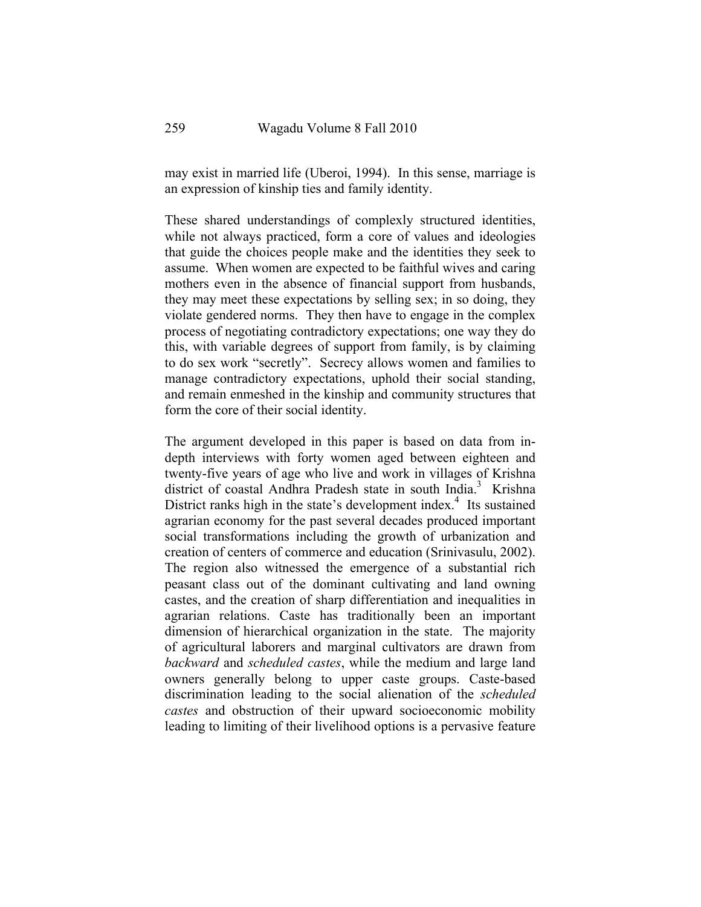may exist in married life (Uberoi, 1994). In this sense, marriage is an expression of kinship ties and family identity.

These shared understandings of complexly structured identities, while not always practiced, form a core of values and ideologies that guide the choices people make and the identities they seek to assume. When women are expected to be faithful wives and caring mothers even in the absence of financial support from husbands, they may meet these expectations by selling sex; in so doing, they violate gendered norms. They then have to engage in the complex process of negotiating contradictory expectations; one way they do this, with variable degrees of support from family, is by claiming to do sex work "secretly". Secrecy allows women and families to manage contradictory expectations, uphold their social standing, and remain enmeshed in the kinship and community structures that form the core of their social identity.

The argument developed in this paper is based on data from indepth interviews with forty women aged between eighteen and twenty-five years of age who live and work in villages of Krishna district of coastal Andhra Pradesh state in south India.<sup>3</sup> Krishna District ranks high in the state's development index.<sup>4</sup> Its sustained agrarian economy for the past several decades produced important social transformations including the growth of urbanization and creation of centers of commerce and education (Srinivasulu, 2002). The region also witnessed the emergence of a substantial rich peasant class out of the dominant cultivating and land owning castes, and the creation of sharp differentiation and inequalities in agrarian relations. Caste has traditionally been an important dimension of hierarchical organization in the state. The majority of agricultural laborers and marginal cultivators are drawn from *backward* and *scheduled castes*, while the medium and large land owners generally belong to upper caste groups. Caste-based discrimination leading to the social alienation of the *scheduled castes* and obstruction of their upward socioeconomic mobility leading to limiting of their livelihood options is a pervasive feature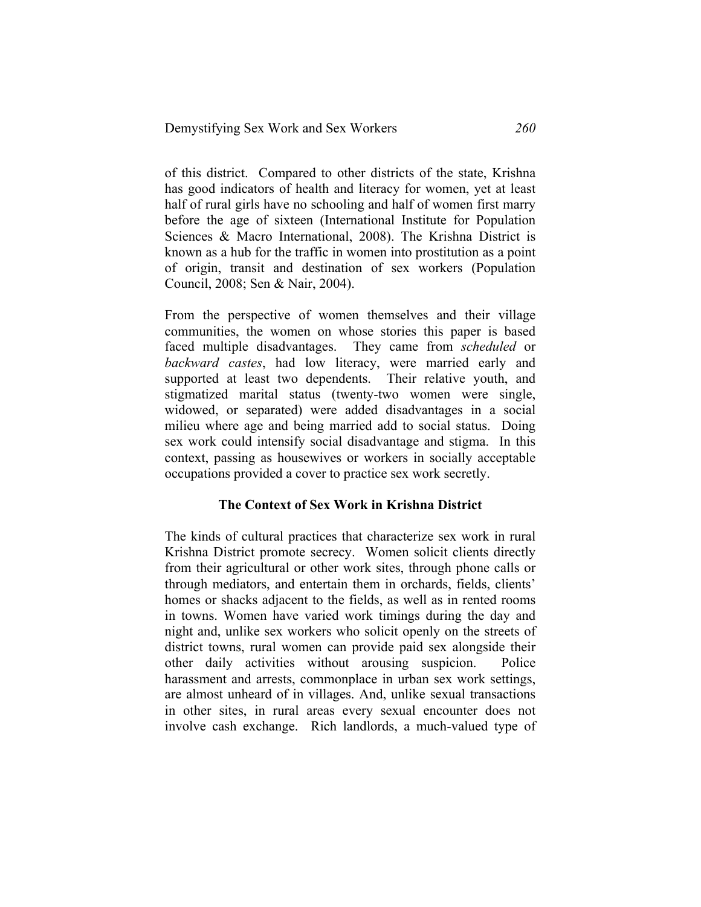of this district. Compared to other districts of the state, Krishna has good indicators of health and literacy for women, yet at least half of rural girls have no schooling and half of women first marry before the age of sixteen (International Institute for Population Sciences & Macro International, 2008). The Krishna District is known as a hub for the traffic in women into prostitution as a point of origin, transit and destination of sex workers (Population Council, 2008; Sen & Nair, 2004).

From the perspective of women themselves and their village communities, the women on whose stories this paper is based faced multiple disadvantages. They came from *scheduled* or *backward castes*, had low literacy, were married early and supported at least two dependents. Their relative youth, and stigmatized marital status (twenty-two women were single, widowed, or separated) were added disadvantages in a social milieu where age and being married add to social status. Doing sex work could intensify social disadvantage and stigma. In this context, passing as housewives or workers in socially acceptable occupations provided a cover to practice sex work secretly.

#### **The Context of Sex Work in Krishna District**

The kinds of cultural practices that characterize sex work in rural Krishna District promote secrecy. Women solicit clients directly from their agricultural or other work sites, through phone calls or through mediators, and entertain them in orchards, fields, clients' homes or shacks adjacent to the fields, as well as in rented rooms in towns. Women have varied work timings during the day and night and, unlike sex workers who solicit openly on the streets of district towns, rural women can provide paid sex alongside their other daily activities without arousing suspicion. Police harassment and arrests, commonplace in urban sex work settings, are almost unheard of in villages. And, unlike sexual transactions in other sites, in rural areas every sexual encounter does not involve cash exchange. Rich landlords, a much-valued type of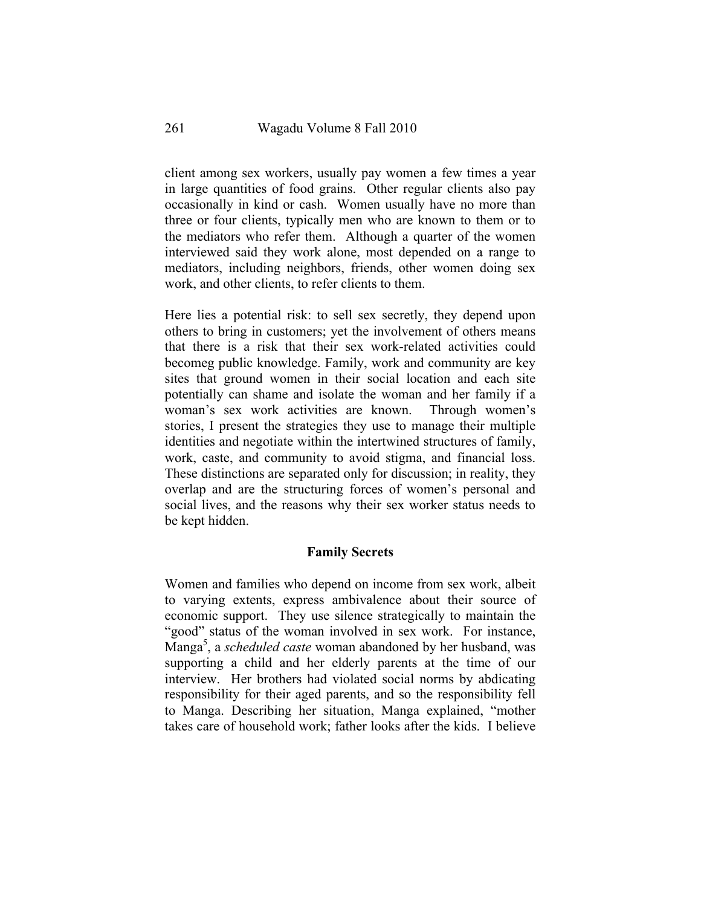client among sex workers, usually pay women a few times a year in large quantities of food grains. Other regular clients also pay occasionally in kind or cash. Women usually have no more than three or four clients, typically men who are known to them or to the mediators who refer them. Although a quarter of the women interviewed said they work alone, most depended on a range to mediators, including neighbors, friends, other women doing sex work, and other clients, to refer clients to them.

Here lies a potential risk: to sell sex secretly, they depend upon others to bring in customers; yet the involvement of others means that there is a risk that their sex work-related activities could becomeg public knowledge. Family, work and community are key sites that ground women in their social location and each site potentially can shame and isolate the woman and her family if a woman's sex work activities are known. Through women's stories, I present the strategies they use to manage their multiple identities and negotiate within the intertwined structures of family, work, caste, and community to avoid stigma, and financial loss. These distinctions are separated only for discussion; in reality, they overlap and are the structuring forces of women's personal and social lives, and the reasons why their sex worker status needs to be kept hidden.

#### **Family Secrets**

Women and families who depend on income from sex work, albeit to varying extents, express ambivalence about their source of economic support. They use silence strategically to maintain the "good" status of the woman involved in sex work. For instance, Manga<sup>5</sup> , a *scheduled caste* woman abandoned by her husband, was supporting a child and her elderly parents at the time of our interview. Her brothers had violated social norms by abdicating responsibility for their aged parents, and so the responsibility fell to Manga. Describing her situation, Manga explained, "mother takes care of household work; father looks after the kids. I believe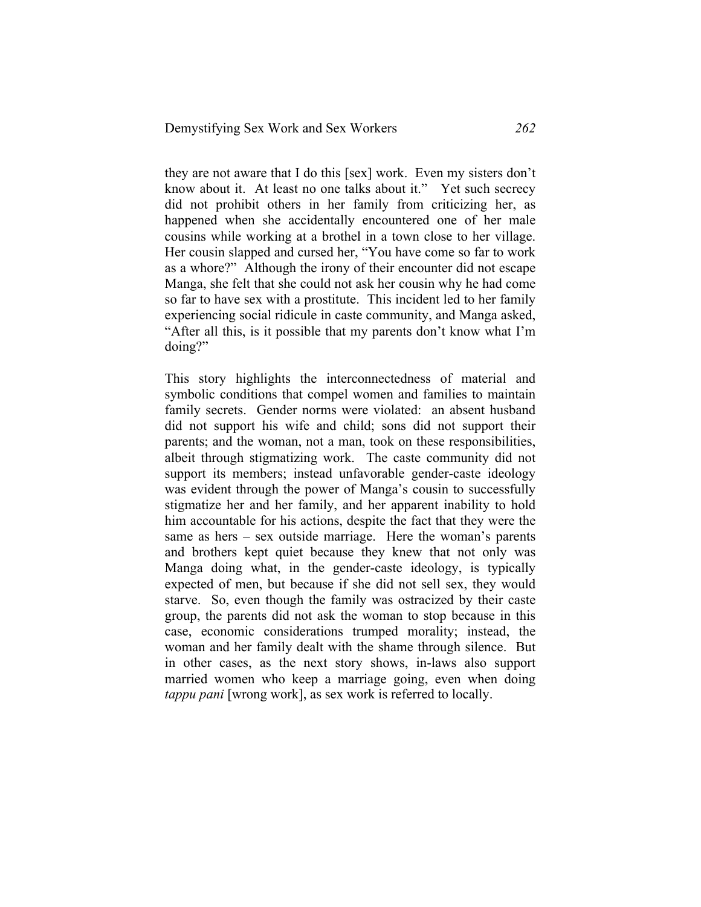they are not aware that I do this [sex] work. Even my sisters don't know about it. At least no one talks about it." Yet such secrecy did not prohibit others in her family from criticizing her, as happened when she accidentally encountered one of her male cousins while working at a brothel in a town close to her village. Her cousin slapped and cursed her, "You have come so far to work as a whore?" Although the irony of their encounter did not escape Manga, she felt that she could not ask her cousin why he had come so far to have sex with a prostitute. This incident led to her family experiencing social ridicule in caste community, and Manga asked, "After all this, is it possible that my parents don't know what I'm doing?"

This story highlights the interconnectedness of material and symbolic conditions that compel women and families to maintain family secrets. Gender norms were violated: an absent husband did not support his wife and child; sons did not support their parents; and the woman, not a man, took on these responsibilities, albeit through stigmatizing work. The caste community did not support its members; instead unfavorable gender-caste ideology was evident through the power of Manga's cousin to successfully stigmatize her and her family, and her apparent inability to hold him accountable for his actions, despite the fact that they were the same as hers – sex outside marriage. Here the woman's parents and brothers kept quiet because they knew that not only was Manga doing what, in the gender-caste ideology, is typically expected of men, but because if she did not sell sex, they would starve. So, even though the family was ostracized by their caste group, the parents did not ask the woman to stop because in this case, economic considerations trumped morality; instead, the woman and her family dealt with the shame through silence. But in other cases, as the next story shows, in-laws also support married women who keep a marriage going, even when doing *tappu pani* [wrong work], as sex work is referred to locally.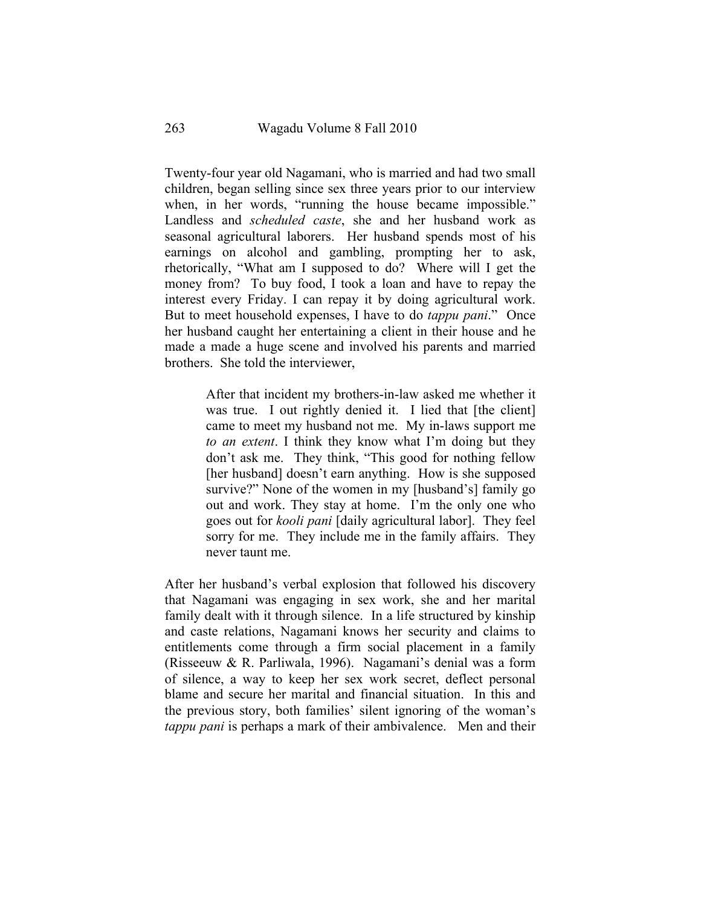Twenty-four year old Nagamani, who is married and had two small children, began selling since sex three years prior to our interview when, in her words, "running the house became impossible." Landless and *scheduled caste*, she and her husband work as seasonal agricultural laborers. Her husband spends most of his earnings on alcohol and gambling, prompting her to ask, rhetorically, "What am I supposed to do? Where will I get the money from? To buy food, I took a loan and have to repay the interest every Friday. I can repay it by doing agricultural work. But to meet household expenses, I have to do *tappu pani*." Once her husband caught her entertaining a client in their house and he made a made a huge scene and involved his parents and married brothers. She told the interviewer,

> After that incident my brothers-in-law asked me whether it was true. I out rightly denied it. I lied that [the client] came to meet my husband not me. My in-laws support me *to an extent*. I think they know what I'm doing but they don't ask me. They think, "This good for nothing fellow [her husband] doesn't earn anything. How is she supposed survive?" None of the women in my [husband's] family go out and work. They stay at home. I'm the only one who goes out for *kooli pani* [daily agricultural labor]. They feel sorry for me. They include me in the family affairs. They never taunt me.

After her husband's verbal explosion that followed his discovery that Nagamani was engaging in sex work, she and her marital family dealt with it through silence. In a life structured by kinship and caste relations, Nagamani knows her security and claims to entitlements come through a firm social placement in a family (Risseeuw & R. Parliwala, 1996). Nagamani's denial was a form of silence, a way to keep her sex work secret, deflect personal blame and secure her marital and financial situation. In this and the previous story, both families' silent ignoring of the woman's *tappu pani* is perhaps a mark of their ambivalence. Men and their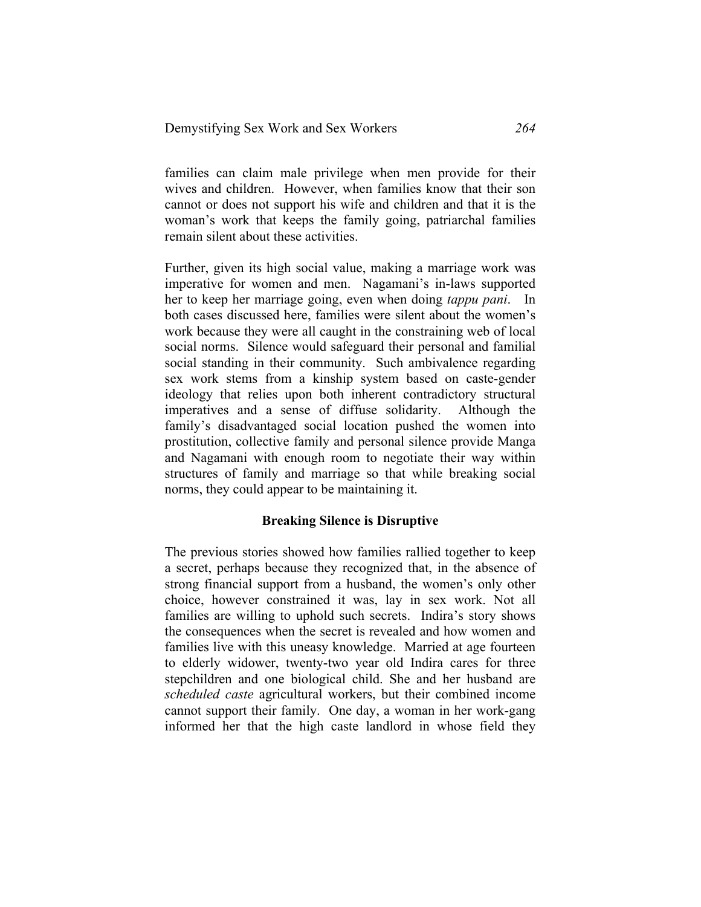families can claim male privilege when men provide for their wives and children. However, when families know that their son cannot or does not support his wife and children and that it is the woman's work that keeps the family going, patriarchal families remain silent about these activities.

Further, given its high social value, making a marriage work was imperative for women and men. Nagamani's in-laws supported her to keep her marriage going, even when doing *tappu pani*. In both cases discussed here, families were silent about the women's work because they were all caught in the constraining web of local social norms. Silence would safeguard their personal and familial social standing in their community. Such ambivalence regarding sex work stems from a kinship system based on caste-gender ideology that relies upon both inherent contradictory structural imperatives and a sense of diffuse solidarity. Although the family's disadvantaged social location pushed the women into prostitution, collective family and personal silence provide Manga and Nagamani with enough room to negotiate their way within structures of family and marriage so that while breaking social norms, they could appear to be maintaining it.

#### **Breaking Silence is Disruptive**

The previous stories showed how families rallied together to keep a secret, perhaps because they recognized that, in the absence of strong financial support from a husband, the women's only other choice, however constrained it was, lay in sex work. Not all families are willing to uphold such secrets. Indira's story shows the consequences when the secret is revealed and how women and families live with this uneasy knowledge. Married at age fourteen to elderly widower, twenty-two year old Indira cares for three stepchildren and one biological child. She and her husband are *scheduled caste* agricultural workers, but their combined income cannot support their family. One day, a woman in her work-gang informed her that the high caste landlord in whose field they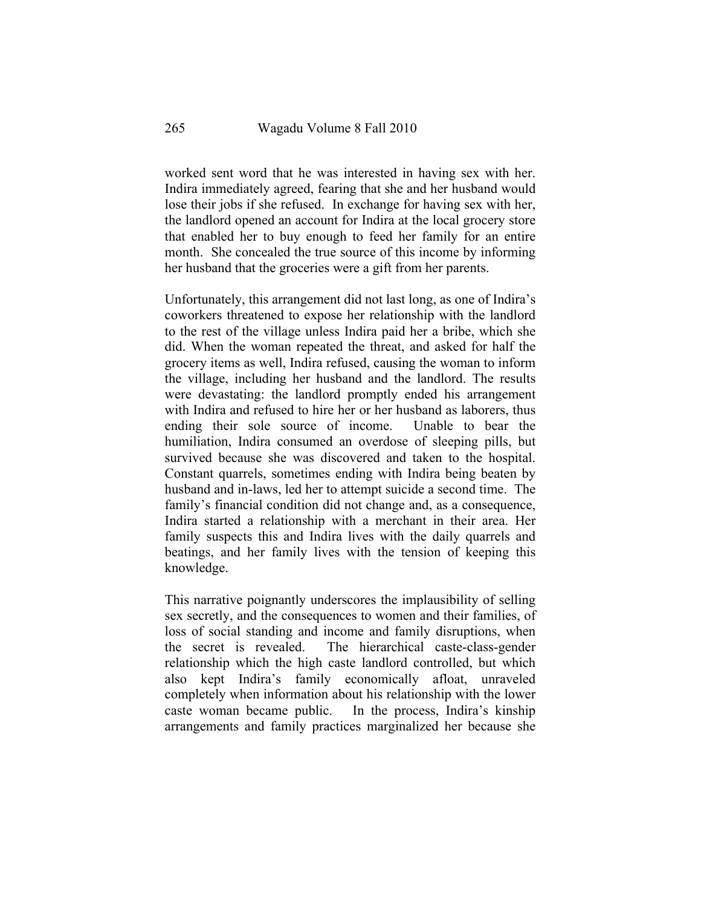worked sent word that he was interested in having sex with her. Indira immediately agreed, fearing that she and her husband would lose their jobs if she refused. In exchange for having sex with her, the landlord opened an account for Indira at the local grocery store that enabled her to buy enough to feed her family for an entire month. She concealed the true source of this income by informing her husband that the groceries were a gift from her parents.

Unfortunately, this arrangement did not last long, as one of Indira's coworkers threatened to expose her relationship with the landlord to the rest of the village unless Indira paid her a bribe, which she did. When the woman repeated the threat, and asked for half the grocery items as well, Indira refused, causing the woman to inform the village, including her husband and the landlord. The results were devastating: the landlord promptly ended his arrangement with Indira and refused to hire her or her husband as laborers, thus ending their sole source of income. Unable to bear the humiliation, Indira consumed an overdose of sleeping pills, but survived because she was discovered and taken to the hospital. Constant quarrels, sometimes ending with Indira being beaten by husband and in-laws, led her to attempt suicide a second time. The family's financial condition did not change and, as a consequence, Indira started a relationship with a merchant in their area. Her family suspects this and Indira lives with the daily quarrels and beatings, and her family lives with the tension of keeping this knowledge.

This narrative poignantly underscores the implausibility of selling sex secretly, and the consequences to women and their families, of loss of social standing and income and family disruptions, when the secret is revealed. The hierarchical caste-class-gender relationship which the high caste landlord controlled, but which also kept Indira's family economically afloat, unraveled completely when information about his relationship with the lower caste woman became public. In the process, Indira's kinship arrangements and family practices marginalized her because she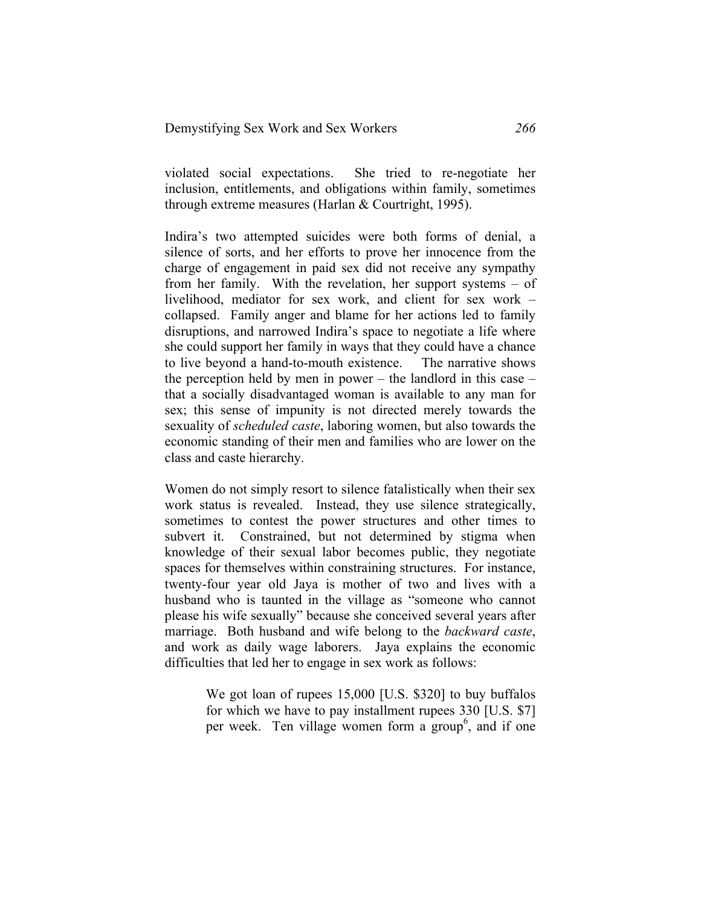violated social expectations. She tried to re-negotiate her inclusion, entitlements, and obligations within family, sometimes through extreme measures (Harlan & Courtright, 1995).

Indira's two attempted suicides were both forms of denial, a silence of sorts, and her efforts to prove her innocence from the charge of engagement in paid sex did not receive any sympathy from her family. With the revelation, her support systems – of livelihood, mediator for sex work, and client for sex work – collapsed. Family anger and blame for her actions led to family disruptions, and narrowed Indira's space to negotiate a life where she could support her family in ways that they could have a chance to live beyond a hand-to-mouth existence. The narrative shows the perception held by men in power – the landlord in this case – that a socially disadvantaged woman is available to any man for sex; this sense of impunity is not directed merely towards the sexuality of *scheduled caste*, laboring women, but also towards the economic standing of their men and families who are lower on the class and caste hierarchy.

Women do not simply resort to silence fatalistically when their sex work status is revealed. Instead, they use silence strategically, sometimes to contest the power structures and other times to subvert it. Constrained, but not determined by stigma when knowledge of their sexual labor becomes public, they negotiate spaces for themselves within constraining structures. For instance, twenty-four year old Jaya is mother of two and lives with a husband who is taunted in the village as "someone who cannot please his wife sexually" because she conceived several years after marriage. Both husband and wife belong to the *backward caste*, and work as daily wage laborers. Jaya explains the economic difficulties that led her to engage in sex work as follows:

> We got loan of rupees 15,000 [U.S. \$320] to buy buffalos for which we have to pay installment rupees 330 [U.S. \$7] per week. Ten village women form a group<sup>6</sup>, and if one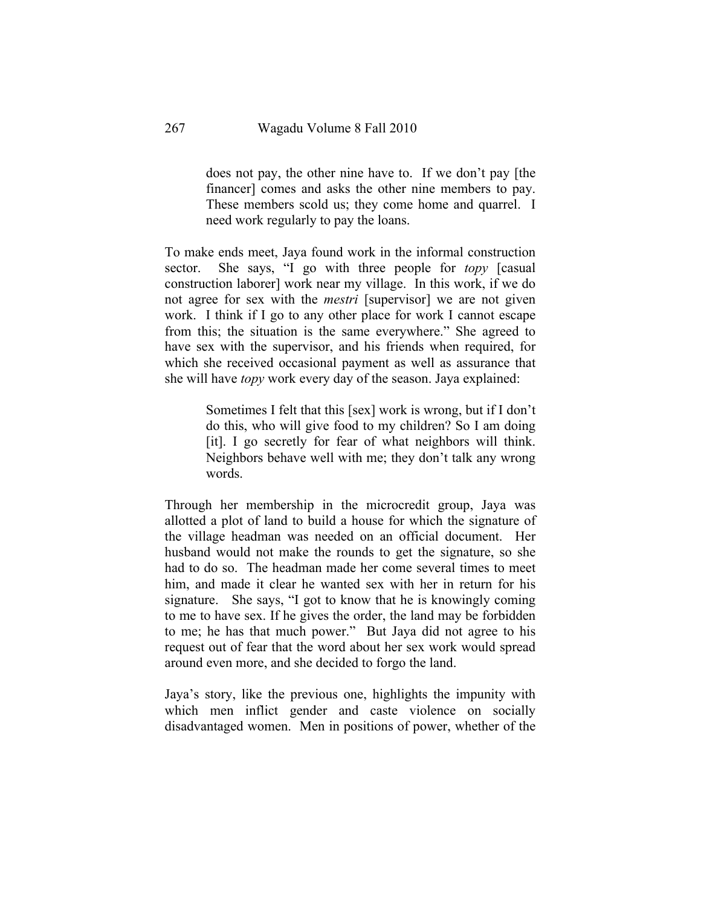does not pay, the other nine have to. If we don't pay [the financer] comes and asks the other nine members to pay. These members scold us; they come home and quarrel. I need work regularly to pay the loans.

To make ends meet, Jaya found work in the informal construction sector. She says, "I go with three people for *topy* [casual construction laborer] work near my village. In this work, if we do not agree for sex with the *mestri* [supervisor] we are not given work. I think if I go to any other place for work I cannot escape from this; the situation is the same everywhere." She agreed to have sex with the supervisor, and his friends when required, for which she received occasional payment as well as assurance that she will have *topy* work every day of the season. Jaya explained:

> Sometimes I felt that this [sex] work is wrong, but if I don't do this, who will give food to my children? So I am doing [it]. I go secretly for fear of what neighbors will think. Neighbors behave well with me; they don't talk any wrong words.

Through her membership in the microcredit group, Jaya was allotted a plot of land to build a house for which the signature of the village headman was needed on an official document. Her husband would not make the rounds to get the signature, so she had to do so. The headman made her come several times to meet him, and made it clear he wanted sex with her in return for his signature. She says, "I got to know that he is knowingly coming to me to have sex. If he gives the order, the land may be forbidden to me; he has that much power." But Jaya did not agree to his request out of fear that the word about her sex work would spread around even more, and she decided to forgo the land.

Jaya's story, like the previous one, highlights the impunity with which men inflict gender and caste violence on socially disadvantaged women. Men in positions of power, whether of the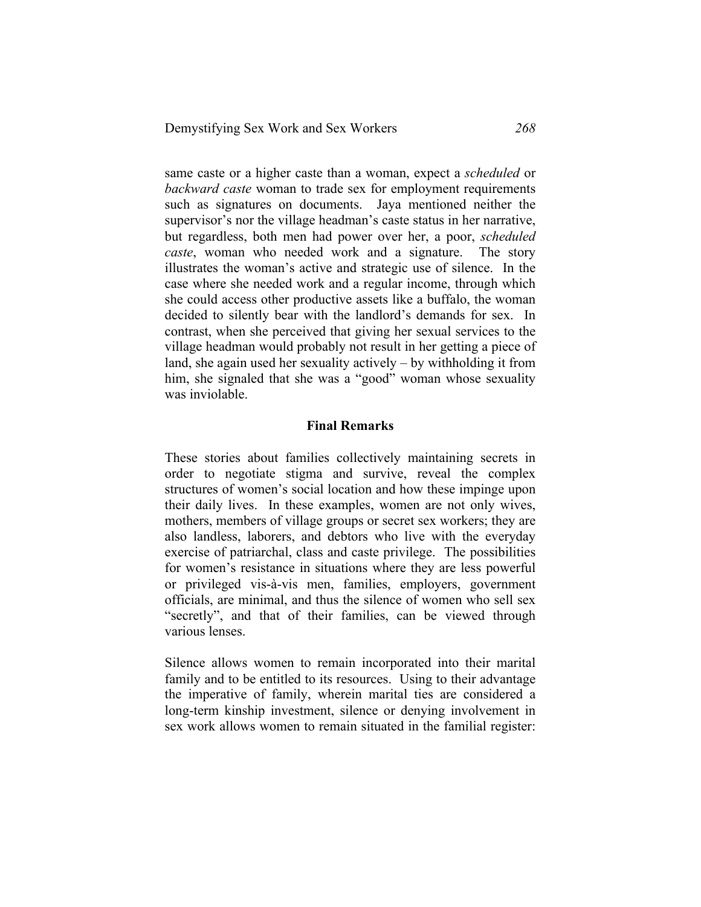same caste or a higher caste than a woman, expect a *scheduled* or *backward caste* woman to trade sex for employment requirements such as signatures on documents. Jaya mentioned neither the supervisor's nor the village headman's caste status in her narrative, but regardless, both men had power over her, a poor, *scheduled caste*, woman who needed work and a signature. The story illustrates the woman's active and strategic use of silence. In the case where she needed work and a regular income, through which she could access other productive assets like a buffalo, the woman decided to silently bear with the landlord's demands for sex. In contrast, when she perceived that giving her sexual services to the village headman would probably not result in her getting a piece of land, she again used her sexuality actively – by withholding it from him, she signaled that she was a "good" woman whose sexuality was inviolable.

#### **Final Remarks**

These stories about families collectively maintaining secrets in order to negotiate stigma and survive, reveal the complex structures of women's social location and how these impinge upon their daily lives. In these examples, women are not only wives, mothers, members of village groups or secret sex workers; they are also landless, laborers, and debtors who live with the everyday exercise of patriarchal, class and caste privilege. The possibilities for women's resistance in situations where they are less powerful or privileged vis-à-vis men, families, employers, government officials, are minimal, and thus the silence of women who sell sex "secretly", and that of their families, can be viewed through various lenses.

Silence allows women to remain incorporated into their marital family and to be entitled to its resources. Using to their advantage the imperative of family, wherein marital ties are considered a long-term kinship investment, silence or denying involvement in sex work allows women to remain situated in the familial register: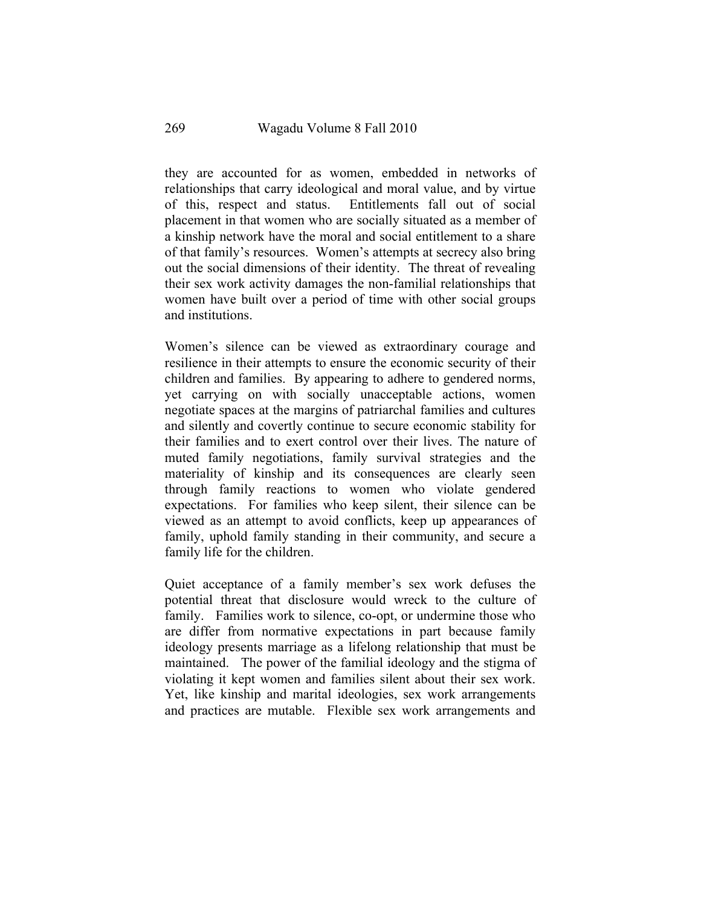they are accounted for as women, embedded in networks of relationships that carry ideological and moral value, and by virtue of this, respect and status. Entitlements fall out of social placement in that women who are socially situated as a member of a kinship network have the moral and social entitlement to a share of that family's resources. Women's attempts at secrecy also bring out the social dimensions of their identity. The threat of revealing their sex work activity damages the non-familial relationships that women have built over a period of time with other social groups and institutions.

Women's silence can be viewed as extraordinary courage and resilience in their attempts to ensure the economic security of their children and families. By appearing to adhere to gendered norms, yet carrying on with socially unacceptable actions, women negotiate spaces at the margins of patriarchal families and cultures and silently and covertly continue to secure economic stability for their families and to exert control over their lives. The nature of muted family negotiations, family survival strategies and the materiality of kinship and its consequences are clearly seen through family reactions to women who violate gendered expectations. For families who keep silent, their silence can be viewed as an attempt to avoid conflicts, keep up appearances of family, uphold family standing in their community, and secure a family life for the children.

Quiet acceptance of a family member's sex work defuses the potential threat that disclosure would wreck to the culture of family. Families work to silence, co-opt, or undermine those who are differ from normative expectations in part because family ideology presents marriage as a lifelong relationship that must be maintained. The power of the familial ideology and the stigma of violating it kept women and families silent about their sex work. Yet, like kinship and marital ideologies, sex work arrangements and practices are mutable. Flexible sex work arrangements and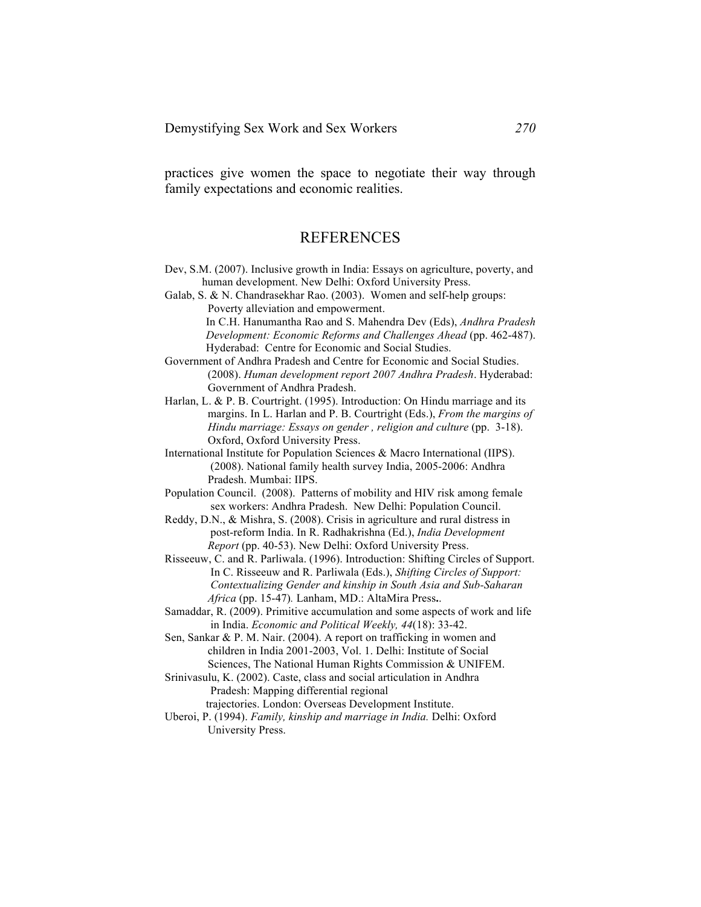practices give women the space to negotiate their way through family expectations and economic realities.

## REFERENCES

- Dev, S.M. (2007). Inclusive growth in India: Essays on agriculture, poverty, and human development. New Delhi: Oxford University Press.
- Galab, S. & N. Chandrasekhar Rao. (2003). Women and self-help groups: Poverty alleviation and empowerment. In C.H. Hanumantha Rao and S. Mahendra Dev (Eds), *Andhra Pradesh Development: Economic Reforms and Challenges Ahead* (pp. 462-487).

Hyderabad: Centre for Economic and Social Studies. Government of Andhra Pradesh and Centre for Economic and Social Studies.

 (2008). *Human development report 2007 Andhra Pradesh*. Hyderabad: Government of Andhra Pradesh.

Harlan, L. & P. B. Courtright. (1995). Introduction: On Hindu marriage and its margins. In L. Harlan and P. B. Courtright (Eds.), *From the margins of Hindu marriage: Essays on gender , religion and culture* (pp. 3-18). Oxford, Oxford University Press.

International Institute for Population Sciences & Macro International (IIPS). (2008). National family health survey India, 2005-2006: Andhra Pradesh. Mumbai: IIPS.

- Population Council. (2008). Patterns of mobility and HIV risk among female sex workers: Andhra Pradesh. New Delhi: Population Council.
- Reddy, D.N., & Mishra, S. (2008). Crisis in agriculture and rural distress in post-reform India. In R. Radhakrishna (Ed.), *India Development Report* (pp. 40-53). New Delhi: Oxford University Press.
- Risseeuw, C. and R. Parliwala. (1996). Introduction: Shifting Circles of Support. In C. Risseeuw and R. Parliwala (Eds.), *Shifting Circles of Support: Contextualizing Gender and kinship in South Asia and Sub-Saharan Africa* (pp. 15-47)*.* Lanham, MD.: AltaMira Press**.**.
- Samaddar, R. (2009). Primitive accumulation and some aspects of work and life in India. *Economic and Political Weekly, 44*(18): 33-42.

Sen, Sankar & P. M. Nair. (2004). A report on trafficking in women and children in India 2001-2003, Vol. 1. Delhi: Institute of Social Sciences, The National Human Rights Commission & UNIFEM.

Srinivasulu, K. (2002). Caste, class and social articulation in Andhra Pradesh: Mapping differential regional

trajectories. London: Overseas Development Institute.

Uberoi, P. (1994). *Family, kinship and marriage in India.* Delhi: Oxford University Press.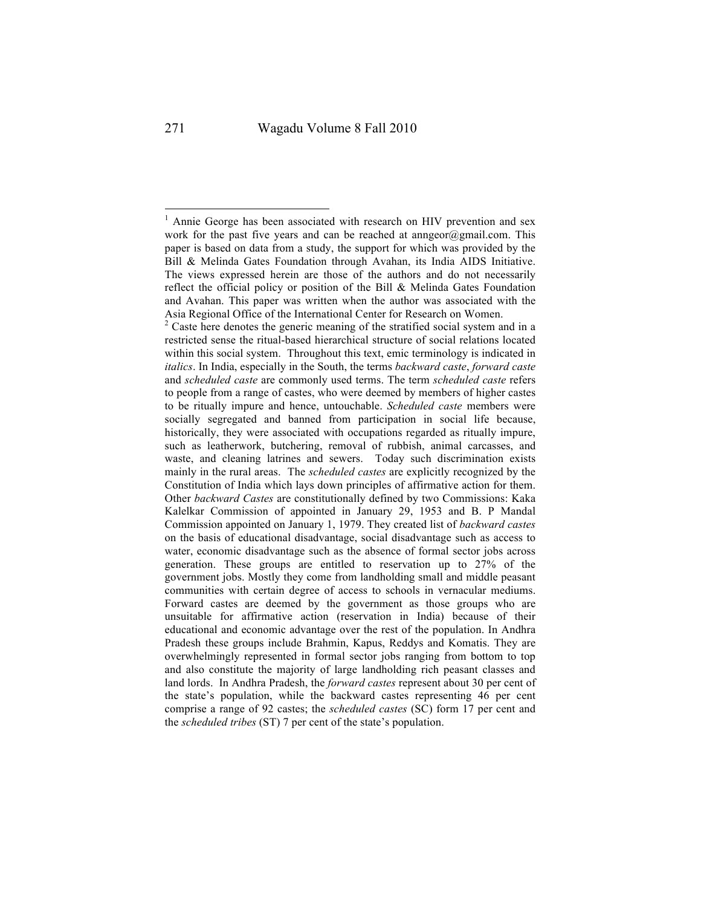<sup>&</sup>lt;sup>1</sup> Annie George has been associated with research on HIV prevention and sex work for the past five years and can be reached at annex  $\alpha$  gmail.com. This paper is based on data from a study, the support for which was provided by the Bill & Melinda Gates Foundation through Avahan, its India AIDS Initiative. The views expressed herein are those of the authors and do not necessarily reflect the official policy or position of the Bill & Melinda Gates Foundation and Avahan. This paper was written when the author was associated with the Asia Regional Office of the International Center for Research on Women.

<sup>&</sup>lt;sup>2</sup> Caste here denotes the generic meaning of the stratified social system and in a restricted sense the ritual-based hierarchical structure of social relations located within this social system. Throughout this text, emic terminology is indicated in *italics*. In India, especially in the South, the terms *backward caste*, *forward caste* and *scheduled caste* are commonly used terms. The term *scheduled caste* refers to people from a range of castes, who were deemed by members of higher castes to be ritually impure and hence, untouchable. *Scheduled caste* members were socially segregated and banned from participation in social life because, historically, they were associated with occupations regarded as ritually impure, such as leatherwork, butchering, removal of rubbish, animal carcasses, and waste, and cleaning latrines and sewers. Today such discrimination exists mainly in the rural areas. The *scheduled castes* are explicitly recognized by the Constitution of India which lays down principles of affirmative action for them. Other *backward Castes* are constitutionally defined by two Commissions: Kaka Kalelkar Commission of appointed in January 29, 1953 and B. P Mandal Commission appointed on January 1, 1979. They created list of *backward castes* on the basis of educational disadvantage, social disadvantage such as access to water, economic disadvantage such as the absence of formal sector jobs across generation. These groups are entitled to reservation up to 27% of the government jobs. Mostly they come from landholding small and middle peasant communities with certain degree of access to schools in vernacular mediums. Forward castes are deemed by the government as those groups who are unsuitable for affirmative action (reservation in India) because of their educational and economic advantage over the rest of the population. In Andhra Pradesh these groups include Brahmin, Kapus, Reddys and Komatis. They are overwhelmingly represented in formal sector jobs ranging from bottom to top and also constitute the majority of large landholding rich peasant classes and land lords. In Andhra Pradesh, the *forward castes* represent about 30 per cent of the state's population, while the backward castes representing 46 per cent comprise a range of 92 castes; the *scheduled castes* (SC) form 17 per cent and the *scheduled tribes* (ST) 7 per cent of the state's population.